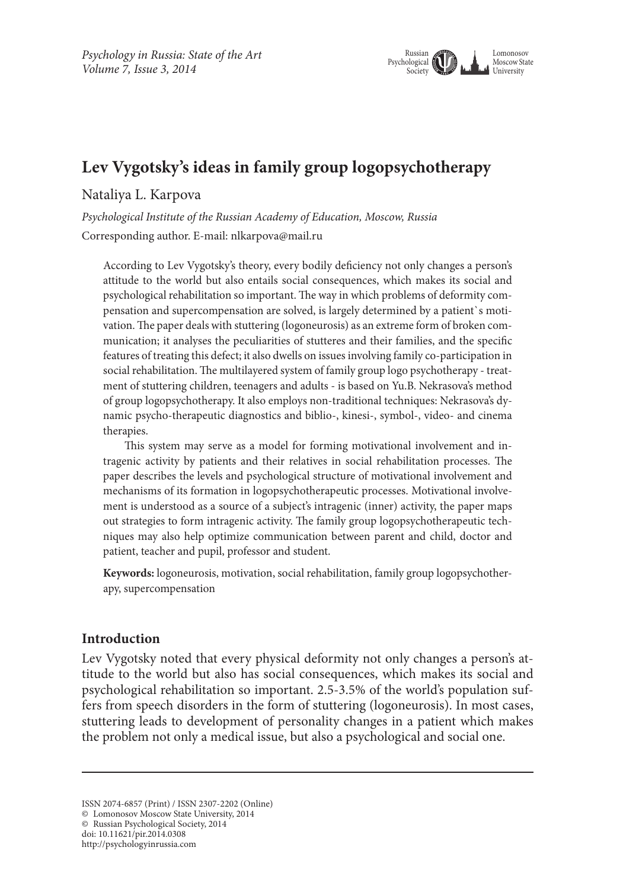

# **Lev Vygotsky's ideas in family group logopsychotherapy**

#### Nataliya L. Karpova

*Psychological Institute of the Russian Academy of Education, Moscow, Russia* Corresponding author. E-mail: nlkarpova@mail.ru

According to Lev Vygotsky's theory, every bodily deficiency not only changes a person's attitude to the world but also entails social consequences, which makes its social and psychological rehabilitation so important. The way in which problems of deformity compensation and supercompensation are solved, is largely determined by a patient`s motivation. The paper deals with stuttering (logoneurosis) as an extreme form of broken communication; it analyses the peculiarities of stutteres and their families, and the specific features of treating this defect; it also dwells on issues involving family co-participation in social rehabilitation. The multilayered system of family group logo psychotherapy - treatment of stuttering children, teenagers and adults - is based on Yu.B. Nekrasova's method of group logopsychotherapy. It also employs non-traditional techniques: Nekrasova's dynamic psycho-therapeutic diagnostics and biblio-, kinesi-, symbol-, video- and cinema therapies.

This system may serve as a model for forming motivational involvement and intragenic activity by patients and their relatives in social rehabilitation processes. The paper describes the levels and psychological structure of motivational involvement and mechanisms of its formation in logopsychotherapeutic processes. Motivational involvement is understood as a source of a subject's intragenic (inner) activity, the paper maps out strategies to form intragenic activity. The family group logopsychotherapeutic techniques may also help optimize communication between parent and child, doctor and patient, teacher and pupil, professor and student.

**Keywords:** logoneurosis, motivation, social rehabilitation, family group logopsychotherapy, supercompensation

#### **Introduction**

Lev Vygotsky noted that every physical deformity not only changes a person's attitude to the world but also has social consequences, which makes its social and psychological rehabilitation so important. 2.5-3.5% of the world's population suffers from speech disorders in the form of stuttering (logoneurosis). In most cases, stuttering leads to development of personality changes in a patient which makes the problem not only a medical issue, but also a psychological and social one.

© Russian Psychological Society, 2014

http://psychologyinrussia.com

ISSN 2074-6857 (Print) / ISSN 2307-2202 (Online)

<sup>©</sup> Lomonosov Moscow State University, 2014

doi: 10.11621/pir.2014.0308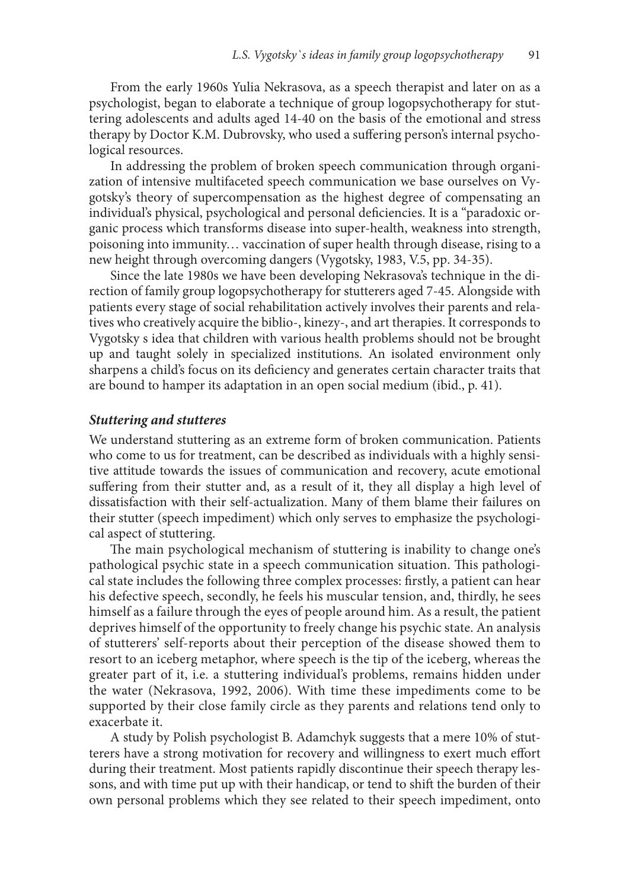From the early 1960s Yulia Nekrasova, as a speech therapist and later on as a psychologist, began to elaborate a technique of group logopsychotherapy for stuttering adolescents and adults aged 14-40 on the basis of the emotional and stress therapy by Doctor K.M. Dubrovsky, who used a suffering person's internal psychological resources.

In addressing the problem of broken speech communication through organization of intensive multifaceted speech communication we base ourselves on Vygotsky's theory of supercompensation as the highest degree of compensating an individual's physical, psychological and personal deficiencies. It is a "paradoxic organic process which transforms disease into super-health, weakness into strength, poisoning into immunity… vaccination of super health through disease, rising to a new height through overcoming dangers (Vygotsky, 1983, V.5, рр. 34-35).

Since the late 1980s we have been developing Nekrasova's technique in the direction of family group logopsychotherapy for stutterers aged 7-45. Alongside with patients every stage of social rehabilitation actively involves their parents and relatives who creatively acquire the biblio-, kinezy-, and art therapies. It corresponds to Vygotsky s idea that children with various health problems should not be brought up and taught solely in specialized institutions. An isolated environment only sharpens a child's focus on its deficiency and generates certain character traits that are bound to hamper its adaptation in an open social medium (ibid., p. 41).

#### *Stuttering and stutteres*

We understand stuttering as an extreme form of broken communication. Patients who come to us for treatment, can be described as individuals with a highly sensitive attitude towards the issues of communication and recovery, acute emotional suffering from their stutter and, as a result of it, they all display a high level of dissatisfaction with their self-actualization. Many of them blame their failures on their stutter (speech impediment) which only serves to emphasize the psychological aspect of stuttering.

The main psychological mechanism of stuttering is inability to change one's pathological psychic state in a speech communication situation. This pathological state includes the following three complex processes: firstly, a patient can hear his defective speech, secondly, he feels his muscular tension, and, thirdly, he sees himself as a failure through the eyes of people around him. As a result, the patient deprives himself of the opportunity to freely change his psychic state. An analysis of stutterers' self-reports about their perception of the disease showed them to resort to an iceberg metaphor, where speech is the tip of the iceberg, whereas the greater part of it, i.e. a stuttering individual's problems, remains hidden under the water (Nekrasova, 1992, 2006). With time these impediments come to be supported by their close family circle as they parents and relations tend only to exacerbate it.

A study by Polish psychologist B. Adamchyk suggests that a mere 10% of stutterers have a strong motivation for recovery and willingness to exert much effort during their treatment. Most patients rapidly discontinue their speech therapy lessons, and with time put up with their handicap, or tend to shift the burden of their own personal problems which they see related to their speech impediment, onto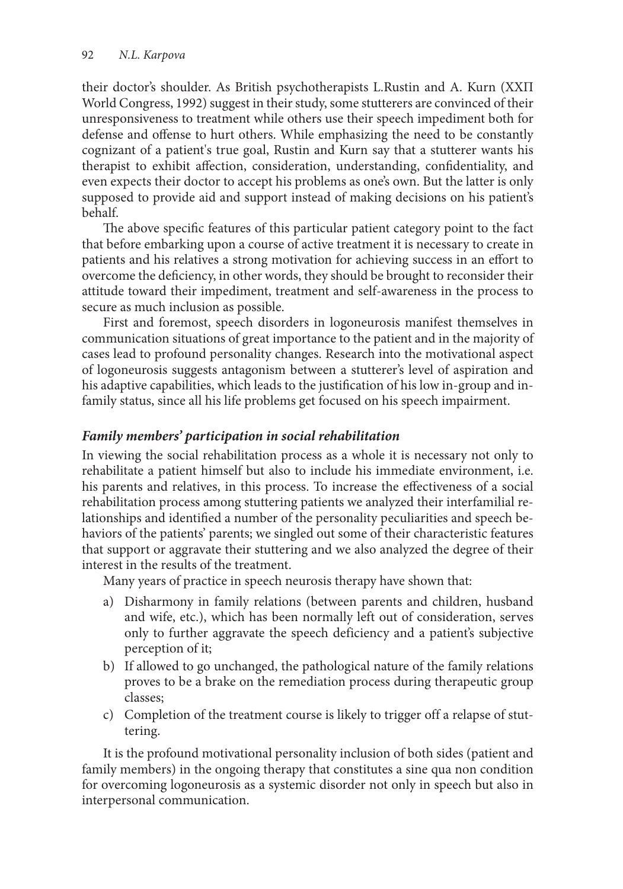their doctor's shoulder. As British psychotherapists L.Rustin and A. Kurn (ХХП World Congress, 1992) suggest in their study, some stutterers are convinced of their unresponsiveness to treatment while others use their speech impediment both for defense and offense to hurt others. While emphasizing the need to be constantly cognizant of a patient's true goal, Rustin and Kurn say that a stutterer wants his therapist to exhibit affection, consideration, understanding, confidentiality, and even expects their doctor to accept his problems as one's own. But the latter is only supposed to provide aid and support instead of making decisions on his patient's behalf.

The above specific features of this particular patient category point to the fact that before embarking upon a course of active treatment it is necessary to create in patients and his relatives a strong motivation for achieving success in an effort to overcome the deficiency, in other words, they should be brought to reconsider their attitude toward their impediment, treatment and self-awareness in the process to secure as much inclusion as possible.

First and foremost, speech disorders in logoneurosis manifest themselves in communication situations of great importance to the patient and in the majority of cases lead to profound personality changes. Research into the motivational aspect of logoneurosis suggests antagonism between a stutterer's level of aspiration and his adaptive capabilities, which leads to the justification of his low in-group and infamily status, since all his life problems get focused on his speech impairment.

# *Family members' participation in social rehabilitation*

In viewing the social rehabilitation process as a whole it is necessary not only to rehabilitate a patient himself but also to include his immediate environment, i.e. his parents and relatives, in this process. To increase the effectiveness of a social rehabilitation process among stuttering patients we analyzed their interfamilial relationships and identified a number of the personality peculiarities and speech behaviors of the patients' parents; we singled out some of their characteristic features that support or aggravate their stuttering and we also analyzed the degree of their interest in the results of the treatment.

Many years of practice in speech neurosis therapy have shown that:

- a) Disharmony in family relations (between parents and children, husband and wife, etc.), which has been normally left out of consideration, serves only to further aggravate the speech deficiency and a patient's subjective perception of it;
- b) If allowed to go unchanged, the pathological nature of the family relations proves to be a brake on the remediation process during therapeutic group classes;
- c) Completion of the treatment course is likely to trigger off a relapse of stuttering.

It is the profound motivational personality inclusion of both sides (patient and family members) in the ongoing therapy that constitutes a sine qua non condition for overcoming logoneurosis as a systemic disorder not only in speech but also in interpersonal communication.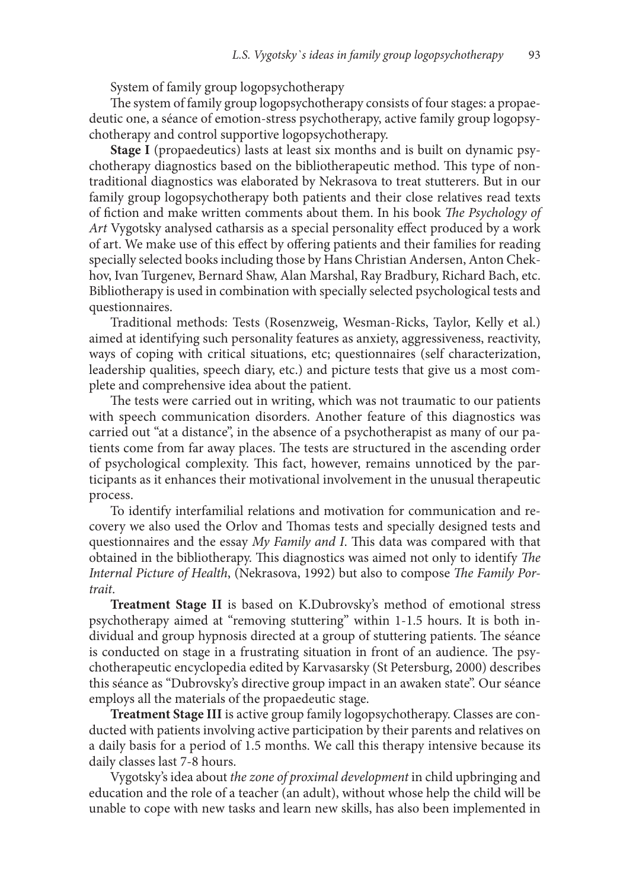System of family group logopsychotherapy

The system of family group logopsychotherapy consists of four stages: a propaedeutic one, a séance of emotion-stress psychotherapy, active family group logopsychotherapy and control supportive logopsychotherapy.

**Stage I** (propaedeutics) lasts at least six months and is built on dynamic psychotherapy diagnostics based on the bibliotherapeutic method. This type of nontraditional diagnostics was elaborated by Nekrasova to treat stutterers. But in our family group logopsychotherapy both patients and their close relatives read texts of fiction and make written comments about them. In his book *The Psychology of Art* Vygotsky analysed catharsis as a special personality effect produced by a work of art. We make use of this effect by offering patients and their families for reading specially selected books including those by Hans Christian Andersen, Anton Chekhov, Ivan Turgenev, Bernard Shaw, Alan Marshal, Ray Bradbury, Richard Bach, etc. Bibliotherapy is used in combination with specially selected psychological tests and questionnaires.

Traditional methods: Tests (Rosenzweig, Wesman-Ricks, Taylor, Kelly et al.) aimed at identifying such personality features as anxiety, aggressiveness, reactivity, ways of coping with critical situations, etc; questionnaires (self characterization, leadership qualities, speech diary, etc.) and picture tests that give us a most complete and comprehensive idea about the patient.

The tests were carried out in writing, which was not traumatic to our patients with speech communication disorders. Another feature of this diagnostics was carried out "at a distance", in the absence of a psychotherapist as many of our patients come from far away places. The tests are structured in the ascending order of psychological complexity. This fact, however, remains unnoticed by the participants as it enhances their motivational involvement in the unusual therapeutic process.

To identify interfamilial relations and motivation for communication and recovery we also used the Orlov and Thomas tests and specially designed tests and questionnaires and the essay *My Family and I*. This data was compared with that obtained in the bibliotherapy. This diagnostics was aimed not only to identify *The Internal Picture of Health*, (Nekrasova, 1992) but also to compose *The Family Portrait*.

**Treatment Stage II** is based on K.Dubrovsky's method of emotional stress psychotherapy aimed at "removing stuttering" within 1-1.5 hours. It is both individual and group hypnosis directed at a group of stuttering patients. The séance is conducted on stage in a frustrating situation in front of an audience. The psychotherapeutic encyclopedia edited by Karvasarsky (St Petersburg, 2000) describes this séance as "Dubrovsky's directive group impact in an awaken state". Our séance employs all the materials of the propaedeutic stage.

**Treatment Stage III** is active group family logopsychotherapy. Classes are conducted with patients involving active participation by their parents and relatives on a daily basis for a period of 1.5 months. We call this therapy intensive because its daily classes last 7-8 hours.

Vygotsky's idea about *the zone of proximal development* in child upbringing and education and the role of a teacher (an adult), without whose help the child will be unable to cope with new tasks and learn new skills, has also been implemented in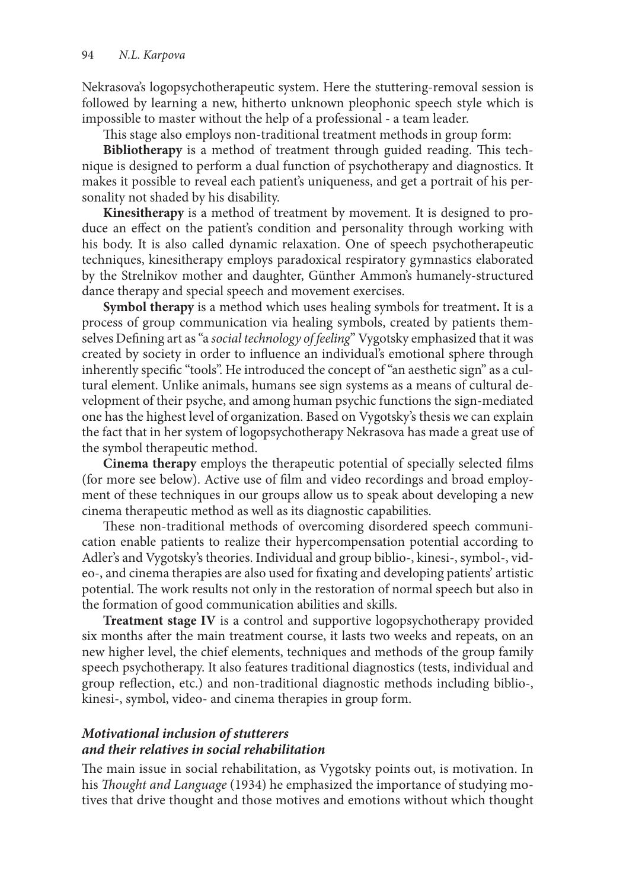Nekrasova's logopsychotherapeutic system. Here the stuttering-removal session is followed by learning a new, hitherto unknown pleophonic speech style which is impossible to master without the help of a professional - a team leader.

This stage also employs non-traditional treatment methods in group form:

**Bibliotherapy** is a method of treatment through guided reading. This technique is designed to perform a dual function of psychotherapy and diagnostics. It makes it possible to reveal each patient's uniqueness, and get a portrait of his personality not shaded by his disability.

**Kinesitherapy** is a method of treatment by movement. It is designed to produce an effect on the patient's condition and personality through working with his body. It is also called dynamic relaxation. One of speech psychotherapeutic techniques, kinesitherapy employs paradoxical respiratory gymnastics elaborated by the Strelnikov mother and daughter, Günther Ammon's humanely-structured dance therapy and special speech and movement exercises.

**Symbol therapy** is a method which uses healing symbols for treatment**.** It is a process of group communication via healing symbols, created by patients themselves Defining art as "a *social technology of feeling*" Vygotsky emphasized that it was created by society in order to influence an individual's emotional sphere through inherently specific "tools". He introduced the concept of "an aesthetic sign" as a cultural element. Unlike animals, humans see sign systems as a means of cultural development of their psyche, and among human psychic functions the sign-mediated one has the highest level of organization. Based on Vygotsky's thesis we can explain the fact that in her system of logopsychotherapy Nekrasova has made a great use of the symbol therapeutic method.

**Cinema therapy** employs the therapeutic potential of specially selected films (for more see below). Active use of film and video recordings and broad employment of these techniques in our groups allow us to speak about developing a new cinema therapeutic method as well as its diagnostic capabilities.

These non-traditional methods of overcoming disordered speech communication enable patients to realize their hypercompensation potential according to Adler's and Vygotsky's theories. Individual and group biblio-, kinesi-, symbol-, video-, and cinema therapies are also used for fixating and developing patients' artistic potential. The work results not only in the restoration of normal speech but also in the formation of good communication abilities and skills.

**Treatment stage IV** is a control and supportive logopsychotherapy provided six months after the main treatment course, it lasts two weeks and repeats, on an new higher level, the chief elements, techniques and methods of the group family speech psychotherapy. It also features traditional diagnostics (tests, individual and group reflection, etc.) and non-traditional diagnostic methods including biblio-, kinesi-, symbol, video- and cinema therapies in group form.

## *Motivational inclusion of stutterers and their relatives in social rehabilitation*

The main issue in social rehabilitation, as Vygotsky points out, is motivation. In his *Thought and Language* (1934) he emphasized the importance of studying motives that drive thought and those motives and emotions without which thought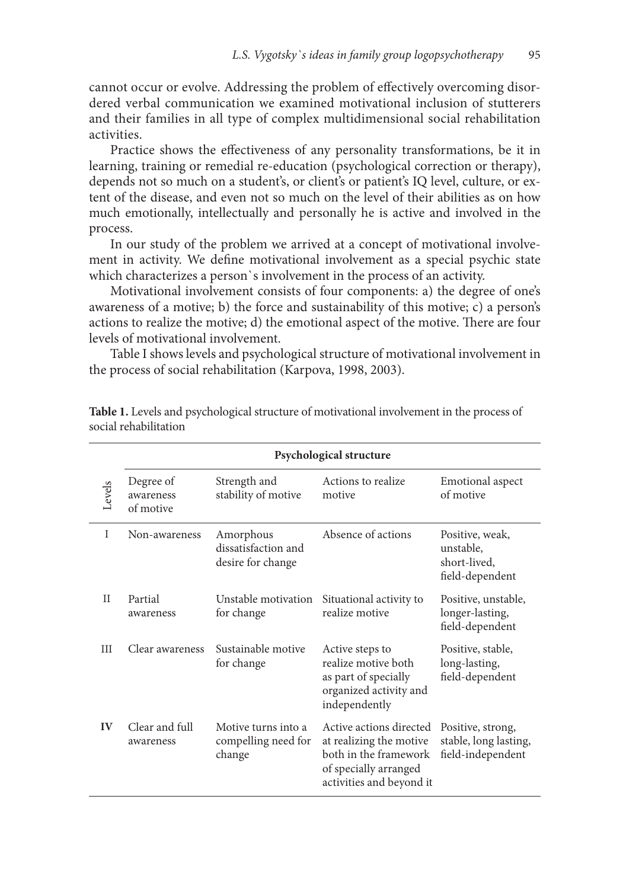cannot occur or evolve. Addressing the problem of effectively overcoming disordered verbal communication we examined motivational inclusion of stutterers and their families in all type of complex multidimensional social rehabilitation activities.

Practice shows the effectiveness of any personality transformations, be it in learning, training or remedial re-education (psychological correction or therapy), depends not so much on a student's, or client's or patient's IQ level, culture, or extent of the disease, and even not so much on the level of their abilities as on how much emotionally, intellectually and personally he is active and involved in the process.

In our study of the problem we arrived at a concept of motivational involvement in activity. We define motivational involvement as a special psychic state which characterizes a person`s involvement in the process of an activity.

Motivational involvement consists of four components: a) the degree of one's awareness of a motive; b) the force and sustainability of this motive; c) a person's actions to realize the motive; d) the emotional aspect of the motive. There are four levels of motivational involvement.

Table I showslevels and psychological structure of motivational involvement in the process of social rehabilitation (Karpova, 1998, 2003).

|              | Psychological structure             |                                                       |                                                                                                                                  |                                                                 |
|--------------|-------------------------------------|-------------------------------------------------------|----------------------------------------------------------------------------------------------------------------------------------|-----------------------------------------------------------------|
| Levels       | Degree of<br>awareness<br>of motive | Strength and<br>stability of motive                   | Actions to realize<br>motive                                                                                                     | Emotional aspect<br>of motive                                   |
| T            | Non-awareness                       | Amorphous<br>dissatisfaction and<br>desire for change | Absence of actions                                                                                                               | Positive, weak,<br>unstable.<br>short-lived,<br>field-dependent |
| $\mathbf{H}$ | Partial<br>awareness                | Unstable motivation<br>for change                     | Situational activity to<br>realize motive                                                                                        | Positive, unstable,<br>longer-lasting,<br>field-dependent       |
| Ш            | Clear awareness                     | Sustainable motive<br>for change                      | Active steps to<br>realize motive both<br>as part of specially<br>organized activity and<br>independently                        | Positive, stable,<br>long-lasting,<br>field-dependent           |
| $\bf{IV}$    | Clear and full<br>awareness         | Motive turns into a<br>compelling need for<br>change  | Active actions directed<br>at realizing the motive<br>both in the framework<br>of specially arranged<br>activities and beyond it | Positive, strong,<br>stable, long lasting,<br>field-independent |

**Table 1.** Levels and psychological structure of motivational involvement in the process of social rehabilitation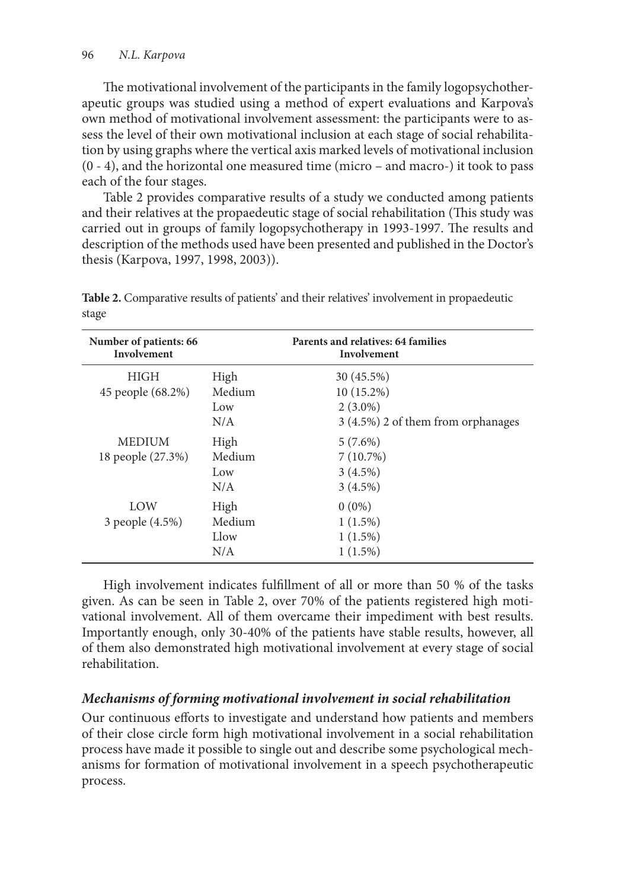The motivational involvement of the participants in the family logopsychotherapeutic groups was studied using a method of expert evaluations and Karpova's own method of motivational involvement assessment: the participants were to assess the level of their own motivational inclusion at each stage of social rehabilitation by using graphs where the vertical axis marked levels of motivational inclusion (0 - 4), and the horizontal one measured time (micro – and macro-) it took to pass each of the four stages.

Table 2 provides comparative results of a study we conducted among patients and their relatives at the propaedeutic stage of social rehabilitation (This study was carried out in groups of family logopsychotherapy in 1993-1997. The results and description of the methods used have been presented and published in the Doctor's thesis (Karpova, 1997, 1998, 2003)).

| Number of patients: 66<br>Involvement |        | Parents and relatives: 64 families<br>Involvement |
|---------------------------------------|--------|---------------------------------------------------|
| <b>HIGH</b>                           | High   | 30 (45.5%)                                        |
| 45 people (68.2%)                     | Medium | 10 (15.2%)                                        |
|                                       | Low    | $2(3.0\%)$                                        |
|                                       | N/A    | 3 (4.5%) 2 of them from orphanages                |
| <b>MEDIUM</b>                         | High   | $5(7.6\%)$                                        |
| 18 people (27.3%)                     | Medium | 7(10.7%)                                          |
|                                       | Low    | $3(4.5\%)$                                        |
|                                       | N/A    | $3(4.5\%)$                                        |
| LOW                                   | High   | $0(0\%)$                                          |
| 3 people (4.5%)                       | Medium | $1(1.5\%)$                                        |
|                                       | Llow   | 1(1.5%)                                           |
|                                       | N/A    | 1(1.5%)                                           |

**Table 2.** Comparative results of patients' and their relatives' involvement in propaedeutic stage

High involvement indicates fulfillment of all or more than 50 % of the tasks given. As can be seen in Table 2, over 70% of the patients registered high motivational involvement. All of them overcame their impediment with best results. Importantly enough, only 30-40% of the patients have stable results, however, all of them also demonstrated high motivational involvement at every stage of social rehabilitation.

# *Mechanisms of forming motivational involvement in social rehabilitation*

Our continuous efforts to investigate and understand how patients and members of their close circle form high motivational involvement in a social rehabilitation process have made it possible to single out and describe some psychological mechanisms for formation of motivational involvement in a speech psychotherapeutic process.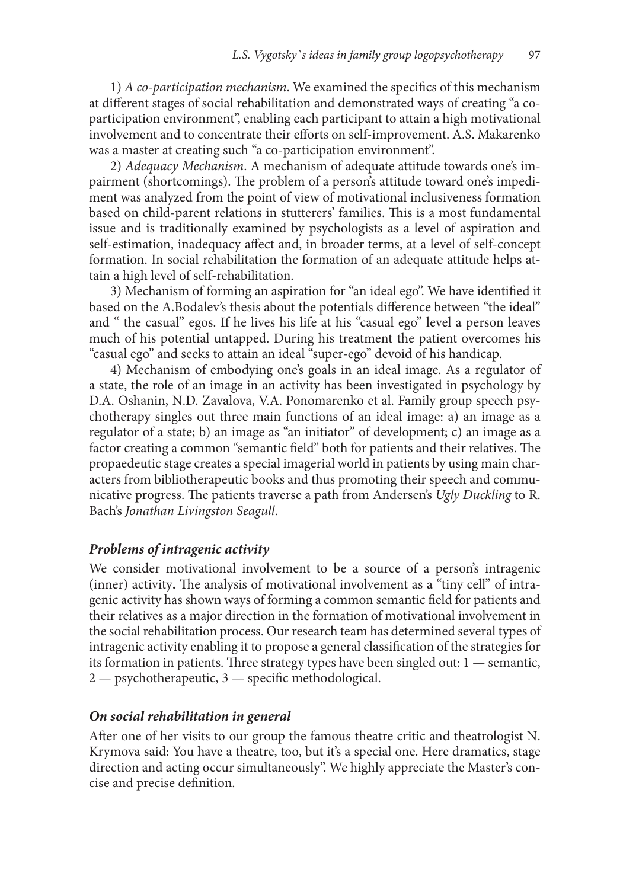1) *A co-participation mechanism*. We examined the specifics of this mechanism at different stages of social rehabilitation and demonstrated ways of creating "a coparticipation environment", enabling each participant to attain a high motivational involvement and to concentrate their efforts on self-improvement. A.S. Makarenko was a master at creating such "a co-participation environment".

2) *Adequacy Mechanism*. A mechanism of adequate attitude towards one's impairment (shortcomings). The problem of a person's attitude toward one's impediment was analyzed from the point of view of motivational inclusiveness formation based on child-parent relations in stutterers' families. This is a most fundamental issue and is traditionally examined by psychologists as a level of aspiration and self-estimation, inadequacy affect and, in broader terms, at a level of self-concept formation. In social rehabilitation the formation of an adequate attitude helps attain a high level of self-rehabilitation.

3) Mechanism of forming an aspiration for "an ideal ego". We have identified it based on the A.Bodalev's thesis about the potentials difference between "the ideal" and " the casual" egos. If he lives his life at his "casual ego" level a person leaves much of his potential untapped. During his treatment the patient overcomes his "casual ego" and seeks to attain an ideal "super-ego" devoid of his handicap.

4) Mechanism of embodying one's goals in an ideal image. As a regulator of a state, the role of an image in an activity has been investigated in psychology by D.A. Oshanin, N.D. Zavalova, V.A. Ponomarenko et al. Family group speech psychotherapy singles out three main functions of an ideal image: a) an image as a regulator of a state; b) an image as "an initiator" of development; c) an image as a factor creating a common "semantic field" both for patients and their relatives. The propaedeutic stage creates a special imagerial world in patients by using main characters from bibliotherapeutic books and thus promoting their speech and communicative progress. The patients traverse a path from Andersen's *Ugly Duckling* to R. Bach's *Jonathan Livingston Seagull*.

#### *Problems of intragenic activity*

We consider motivational involvement to be a source of a person's intragenic (inner) activity**.** The analysis of motivational involvement as a "tiny cell" of intragenic activity has shown ways of forming a common semantic field for patients and their relatives as a major direction in the formation of motivational involvement in the social rehabilitation process. Our research team has determined several types of intrageniс activity enabling it to propose a general classification of the strategies for its formation in patients. Three strategy types have been singled out:  $1$  — semantic, 2 — psychotherapeutic, 3 — specific methodological.

#### *On social rehabilitation in general*

After one of her visits to our group the famous theatre critic and theatrologist N. Krymova said: You have a theatre, too, but it's a special one. Here dramatics, stage direction and acting occur simultaneously". We highly appreciate the Master's concise and precise definition.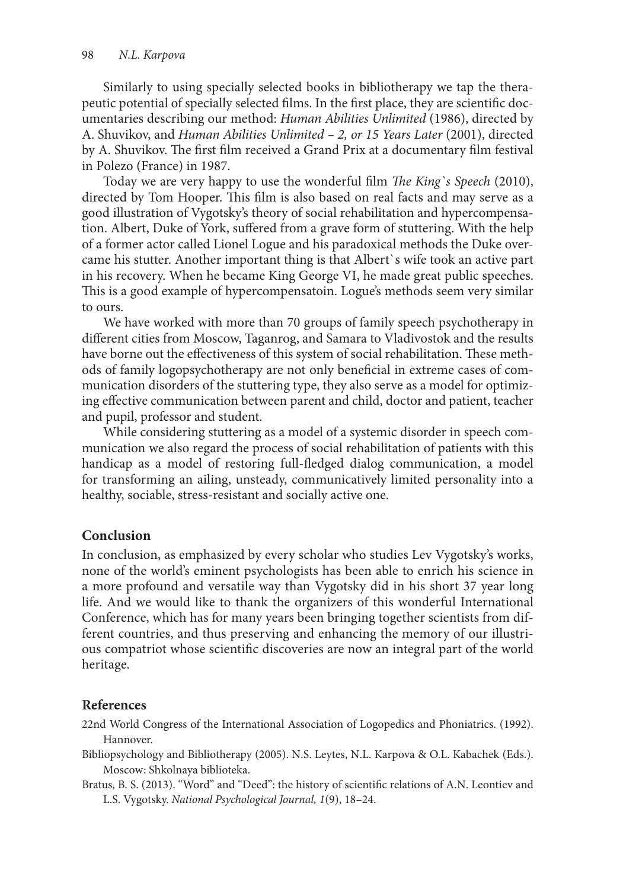Similarly to using specially selected books in bibliotherapy we tap the therapeutic potential of specially selected films. In the first place, they are scientific documentaries describing our method: *Human Abilities Unlimited* (1986), directed by A. Shuvikov, and *Human Abilities Unlimited – 2, or 15 Years Later* (2001), directed by A. Shuvikov. The first film received a Grand Prix at a documentary film festival in Pоlezo (France) in 1987.

Today we are very happy to use the wonderful film *The King`s Speech* (2010), directed by Tom Hooper. This film is also based on real facts and may serve as a good illustration of Vygotsky's theory of social rehabilitation and hypercompensation. Albert, Duke of York, suffered from a grave form of stuttering. With the help of a former actor called Lionel Logue and his paradoxical methods the Duke overcame his stutter. Another important thing is that Albert`s wife took an active part in his recovery. When he became King George VI, he made great public speeches. This is a good example of hypercompensatoin. Logue's methods seem very similar to ours.

We have worked with more than 70 groups of family speech psychotherapy in different cities from Moscow, Taganrog, and Samara to Vladivostok and the results have borne out the effectiveness of this system of social rehabilitation. These methods of family logopsychotherapy are not only beneficial in extreme cases of communication disorders of the stuttering type, they also serve as a model for optimizing effective communication between parent and child, doctor and patient, teacher and pupil, professor and student.

While considering stuttering as a model of a systemic disorder in speech communication we also regard the process of social rehabilitation of patients with this handicap as a model of restoring full-fledged dialog communication, a model for transforming an ailing, unsteady, communicatively limited personality into a healthy, sociable, stress-resistant and socially active one.

# **Conclusion**

In conclusion, as emphasized by every scholar who studies Lev Vygotsky's works, none of the world's eminent psychologists has been able to enrich his science in a more profound and versatile way than Vygotsky did in his short 37 year long life. And we would like to thank the organizers of this wonderful International Conference, which has for many years been bringing together scientists from different countries, and thus preserving and enhancing the memory of our illustrious compatriot whose scientific discoveries are now an integral part of the world heritage.

## **References**

- 22nd World Congress of the International Association of Logopedics and Phoniatrics. (1992). Hannover.
- Bibliopsychology and Bibliotherapy (2005). N.S. Leytes, N.L. Karpova & O.L. Kabachek (Eds.). Moscow: Shkolnaya biblioteka.
- Bratus, B. S. (2013). "Word" and "Deed": the history of scientific relations of A.N. Leontiev and L.S. Vygotsky. *National Psychological Journal, 1*(9), 18–24.